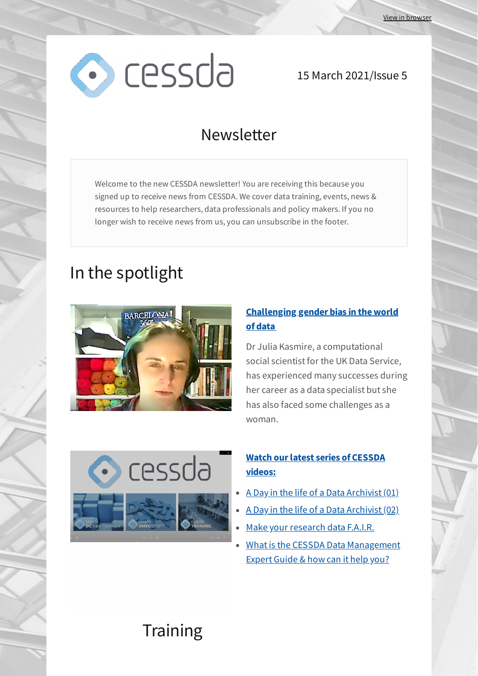

#### 15 March 2021/Issue 5

## Newsletter

Welcome to the new CESSDA newsletter! You are receiving this because you signed up to receive news from CESSDA. We cover data training, events, news & resources to help researchers, data professionals and policy makers. If you no longer wish to receive news from us, you can unsubscribe in the footer.

# In the spotlight



#### **[Challenging gender bias in the world](https://www.ukdataservice.ac.uk/news-and-events/newsitem/?id=5739&utm_source=newsletter&utm_medium=email&utm_campaign=cessda_newsletter_15_march_2021_issue_5&utm_term=2021-03-15) of data**

Dr Julia Kasmire, a computational social scientist for the UK Data Service, has experienced many successes during her career as a data specialist but she has also faced some challenges as a woman.

cessda

#### **[Watch our latest series of CESSDA](https://zenodo.org/record/4569381?&utm_source=newsletter&utm_medium=email&utm_campaign=cessda_newsletter_15_march_2021_issue_5&utm_term=2021-03-15#.YE6SEbBxfIV) videos:**

- [A Day in the life of a Data Archivist \(01\)](https://zenodo.org/record/4569381?&utm_source=newsletter&utm_medium=email&utm_campaign=cessda_newsletter_15_march_2021_issue_5&utm_term=2021-03-15#.YE6O8LBxfIV)
- [A Day in the life of a Data Archivist \(02\)](https://zenodo.org/record/4569366?&utm_source=newsletter&utm_medium=email&utm_campaign=cessda_newsletter_15_march_2021_issue_5&utm_term=2021-03-15#.YE6PBrBxfIV)
- [Make your research data F.A.I.R.](https://zenodo.org/record/4569345?&utm_source=newsletter&utm_medium=email&utm_campaign=cessda_newsletter_15_march_2021_issue_5&utm_term=2021-03-15#.YE6PGLBxfIV)
- [What is the CESSDA Data Management](https://zenodo.org/record/4569323?&utm_source=newsletter&utm_medium=email&utm_campaign=cessda_newsletter_15_march_2021_issue_5&utm_term=2021-03-15#.YE6PPrBxfIV) Expert Guide & how can it help you?

# **Training**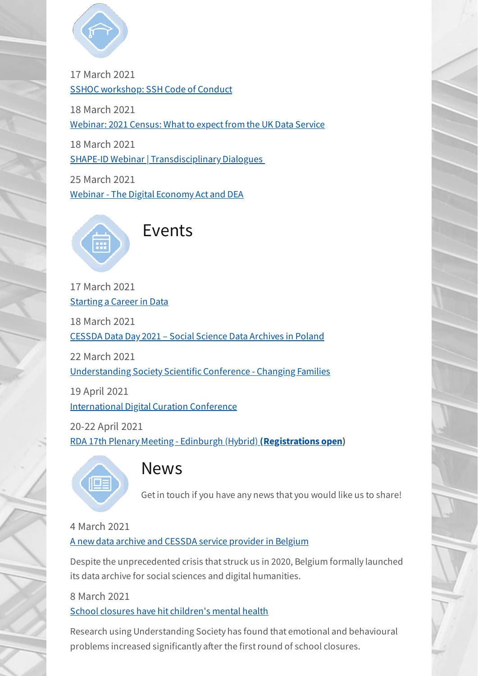

17 March 2021 [SSHOC workshop: SSH Code of Conduct](https://sshopencloud.eu/events/sshoc-workshop-ssh-code-conduct-0?&utm_source=newsletter&utm_medium=email&utm_campaign=cessda_newsletter_15_march_2021_issue_5&utm_term=2021-03-15)

18 March 2021

[Webinar: 2021 Census: What to expect from the UK Data Service](https://www.ukdataservice.ac.uk/news-and-events/eventsitem/?id=5738&utm_source=newsletter&utm_medium=email&utm_campaign=cessda_newsletter_15_march_2021_issue_5&utm_term=2021-03-15)

18 March 2021

[SHAPE-ID Webinar | Transdisciplinary Dialogues](https://www.openaire.eu/events/eventdetail/826/58%7C272/shape-id-webinar-transdisciplinary-dialogues?&utm_source=newsletter&utm_medium=email&utm_campaign=cessda_newsletter_15_march_2021_issue_5&utm_term=2021-03-15) 

25 March 2021 [Webinar - The Digital Economy Act and DEA](https://www.cessda.eu/Training/Event-Calendar?&utm_source=newsletter&utm_medium=email&utm_campaign=cessda_newsletter_15_march_2021_issue_5&utm_term=2021-03-15)



17 March 2021 [Starting a Career in Data](https://www.cessda.eu/Training/Event-Calendar/Starting-a-Career-in-Data?&utm_source=newsletter&utm_medium=email&utm_campaign=cessda_newsletter_15_march_2021_issue_5&utm_term=2021-03-15)

18 March 2021

[CESSDA Data Day 2021 – Social Science Data Archives in Poland](https://www.cessda.eu/News-Events/Events/CESSDA-Data-Day-2021-Social-Science-Data-Archives-in-Poland-Opportunities-for-Researchers-and-Challenges-Ahead?&utm_source=newsletter&utm_medium=email&utm_campaign=cessda_newsletter_15_march_2021_issue_5&utm_term=2021-03-15)

22 March 2021

[Understanding Society Scientific Conference - Changing Families](https://www.eventbrite.co.uk/e/understanding-society-scientific-conference-changing-families-tickets-139931048533?&utm_source=newsletter&utm_medium=email&utm_campaign=cessda_newsletter_15_march_2021_issue_5&utm_term=2021-03-15)

19 April 2021 [International Digital Curation Conference](https://www.dcc.ac.uk/events/idcc2021?&utm_source=newsletter&utm_medium=email&utm_campaign=cessda_newsletter_15_march_2021_issue_5&utm_term=2021-03-15)

20-22 April 2021 [RDA 17th Plenary Meeting - Edinburgh \(Hybrid\)](https://www.rd-alliance.org/plenaries/rda-17th-plenary-meeting-edinburgh-hybrid?&utm_source=newsletter&utm_medium=email&utm_campaign=cessda_newsletter_15_march_2021_issue_5&utm_term=2021-03-15) **(Registrations open)**



### **News**

Get in touch if you have any news that you would like us to share!

#### 4 March 2021

[A new data archive and CESSDA service provider in Belgium](https://www.cessda.eu/News-Events/News/CESSDA/A-new-data-archive-and-CESSDA-service-provider-in-Belgium?&utm_source=newsletter&utm_medium=email&utm_campaign=cessda_newsletter_15_march_2021_issue_5&utm_term=2021-03-15)

Despite the unprecedented crisis that struck us in 2020, Belgium formally launched its data archive for social sciences and digital humanities.

8 March 2021

[School closures have hit children's mental health](https://www.understandingsociety.ac.uk/2021/03/08/school-closures-have-hit-childrens-mental-health?&utm_source=newsletter&utm_medium=email&utm_campaign=cessda_newsletter_15_march_2021_issue_5&utm_term=2021-03-15)

Research using Understanding Society has found that emotional and behavioural problems increased significantly after the first round of school closures.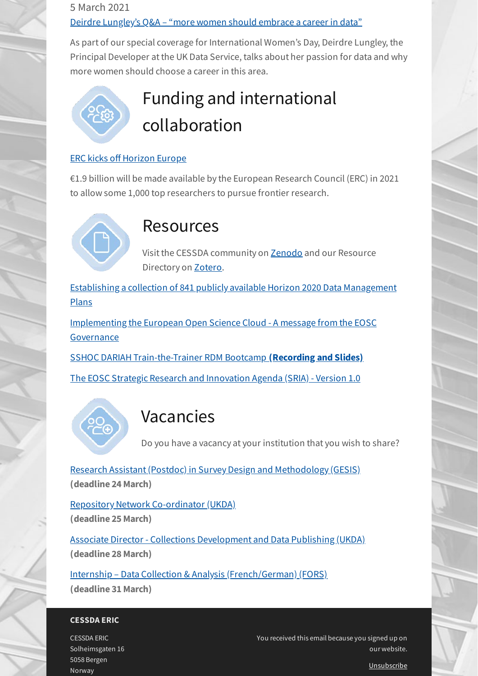#### 5 March 2021 [Deirdre Lungley's Q&A – "more women should embrace a career in data"](https://www.ukdataservice.ac.uk/news-and-events/newsitem/?id=5740&utm_source=newsletter&utm_medium=email&utm_campaign=cessda_newsletter_15_march_2021_issue_5&utm_term=2021-03-15)

As part of our special coverage for International Women's Day, Deirdre Lungley, the Principal Developer at the UK Data Service, talks about her passion for data and why more women should choose a career in this area.



# Funding and international collaboration

#### **ERC kicks off Horizon Europe**

€1.9 billion will be made available by the European Research Council (ERC) in 2021 to allow some 1,000 top researchers to pursue frontier research.



## Resources

Visit the CESSDA community on [Zenodo](https://zenodo.org/search?page=1&size=20&q=cessda%20&utm_source=newsletter&utm_medium=email&utm_campaign=cessda_newsletter_15_march_2021_issue_5&utm_term=2021-03-15) and our Resource Directory on [Zotero.](https://www.zotero.org/groups/2382601/cessda_resource_directory/?&utm_source=newsletter&utm_medium=email&utm_campaign=cessda_newsletter_15_march_2021_issue_5&utm_term=2021-03-15)

[Establishing a collection of 841 publicly available Horizon 2020 Data Management](https://www.openaire.eu/blogs/establishing-a-collection-of-841-horizon-2020-data-management-plans?&utm_source=newsletter&utm_medium=email&utm_campaign=cessda_newsletter_15_march_2021_issue_5&utm_term=2021-03-15) Plans

[Implementing the European Open Science Cloud - A message from the EOSC](https://www.eoscsecretariat.eu/news-opinion/implementing-european-open-science-cloud-message-eosc-governance?&utm_source=newsletter&utm_medium=email&utm_campaign=cessda_newsletter_15_march_2021_issue_5&utm_term=2021-03-15) Governance

[SSHOC DARIAH Train-the-Trainer RDM Bootcamp](https://www.sshopencloud.eu/events/train-trainer-rdm-bootcamp?&utm_source=newsletter&utm_medium=email&utm_campaign=cessda_newsletter_15_march_2021_issue_5&utm_term=2021-03-15) **(Recording and Slides)**

[The EOSC Strategic Research and Innovation Agenda \(SRIA\) - Version 1.0](https://www.eosc.eu/sites/default/files/EOSC-SRIA-V1.0_15Feb2021.pdf?&utm_source=newsletter&utm_medium=email&utm_campaign=cessda_newsletter_15_march_2021_issue_5&utm_term=2021-03-15)



# Vacancies

Do you have a vacancy at your institution that you wish to share?

[Research Assistant \(Postdoc\) in Survey Design and Methodology \(GESIS\)](https://www.hidden-professionals.de/HPv3.Jobs/gesis/job/15603/Wissenschaftliche-r-Mitarbeiter-in-Postdoc-in-der-Umfrageforschung?&utm_source=newsletter&utm_medium=email&utm_campaign=cessda_newsletter_15_march_2021_issue_5&utm_term=2021-03-15) **(deadline 24 March)**

[Repository Network Co-ordinator \(UKDA\)](https://hrorganiser.essex.ac.uk/tlive_webrecruitment/wrd/run/ETREC107GF.open?VACANCY_ID=072173Nd05&WVID=9918109NEm&LANG=USA&utm_source=newsletter&utm_medium=email&utm_campaign=cessda_newsletter_15_march_2021_issue_5&utm_term=2021-03-15) **(deadline 25 March)**

[Associate Director - Collections Development and Data Publishing \(UKDA\)](https://hrorganiser.essex.ac.uk/tlive_webrecruitment/wrd/run/ETREC107GF.open?VACANCY_ID=273448NYOI&WVID=9918109NEm&LANG=USA&utm_source=newsletter&utm_medium=email&utm_campaign=cessda_newsletter_15_march_2021_issue_5&utm_term=2021-03-15) **(deadline 28 March)**

[Internship – Data Collection & Analysis \(French/German\) \(FORS\)](https://forscenter.ch/about-fors/staff/open-positions/?&utm_source=newsletter&utm_medium=email&utm_campaign=cessda_newsletter_15_march_2021_issue_5&utm_term=2021-03-15) **(deadline 31 March)**

#### **CESSDA ERIC**

CESSDA ERIC Solheimsgaten 16 5058 Bergen Norway

You received this email because you signed up on our website.

[Unsubscribe](http://localhost:3000/decode_hex/68747470733a2f2f707265766965772e6d61696c65726c6974652e636f6d2f783170397a37)